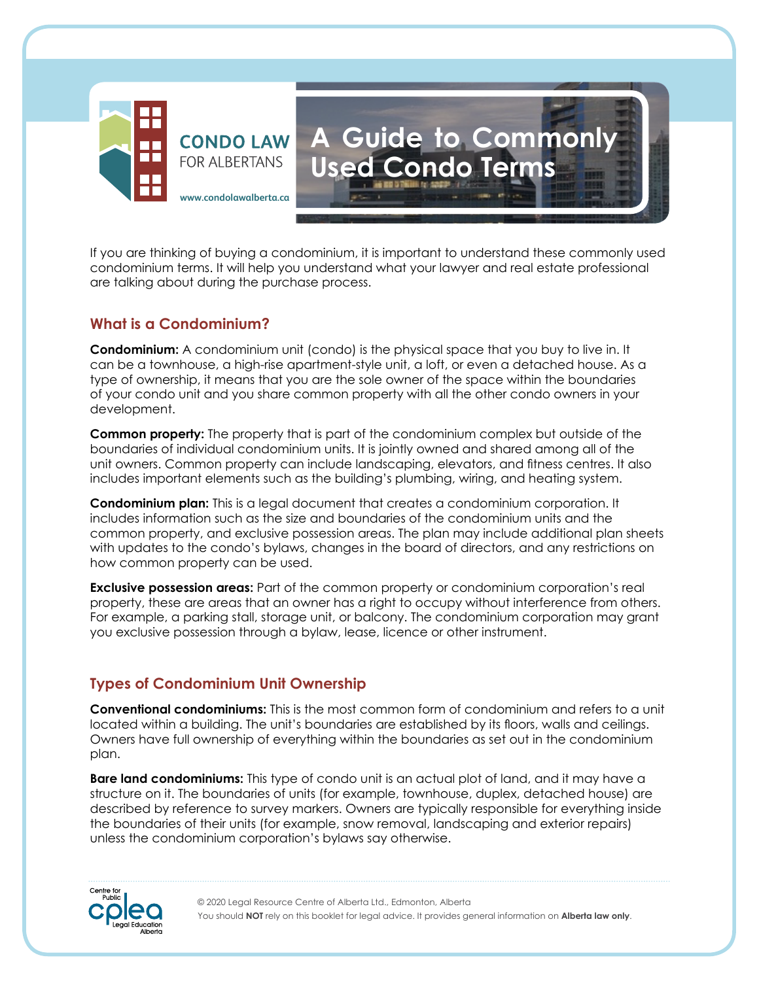

If you are thinking of buying a condominium, it is important to understand these commonly used condominium terms. It will help you understand what your lawyer and real estate professional are talking about during the purchase process.

**A Guide to Commonly** 

**Used Condo Terms**

## **What is a Condominium?**

**Condominium:** A condominium unit (condo) is the physical space that you buy to live in. It can be a townhouse, a high-rise apartment-style unit, a loft, or even a detached house. As a type of ownership, it means that you are the sole owner of the space within the boundaries of your condo unit and you share common property with all the other condo owners in your development.

**Common property:** The property that is part of the condominium complex but outside of the boundaries of individual condominium units. It is jointly owned and shared among all of the unit owners. Common property can include landscaping, elevators, and fitness centres. It also includes important elements such as the building's plumbing, wiring, and heating system.

**Condominium plan:** This is a legal document that creates a condominium corporation. It includes information such as the size and boundaries of the condominium units and the common property, and exclusive possession areas. The plan may include additional plan sheets with updates to the condo's bylaws, changes in the board of directors, and any restrictions on how common property can be used.

**Exclusive possession areas:** Part of the common property or condominium corporation's real property, these are areas that an owner has a right to occupy without interference from others. For example, a parking stall, storage unit, or balcony. The condominium corporation may grant you exclusive possession through a bylaw, lease, licence or other instrument.

## **Types of Condominium Unit Ownership**

**Conventional condominiums:** This is the most common form of condominium and refers to a unit located within a building. The unit's boundaries are established by its floors, walls and ceilings. Owners have full ownership of everything within the boundaries as set out in the condominium plan.

**Bare land condominiums:** This type of condo unit is an actual plot of land, and it may have a structure on it. The boundaries of units (for example, townhouse, duplex, detached house) are described by reference to survey markers. Owners are typically responsible for everything inside the boundaries of their units (for example, snow removal, landscaping and exterior repairs) unless the condominium corporation's bylaws say otherwise.